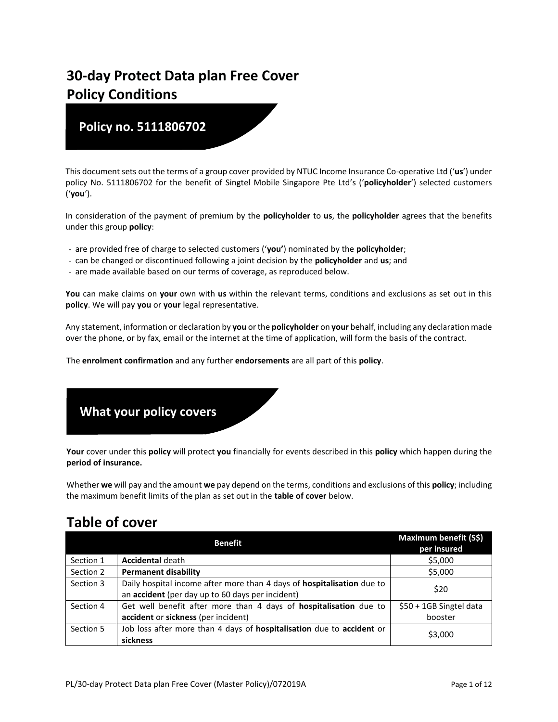# **30-day Protect Data plan Free Cover Policy Conditions**

# **Policy no. 5111806702**

This document sets out the terms of a group cover provided by NTUC Income Insurance Co-operative Ltd ('**us**') under policy No. 5111806702 for the benefit of Singtel Mobile Singapore Pte Ltd's ('**policyholder**') selected customers ('**you**').

In consideration of the payment of premium by the **policyholder** to **us**, the **policyholder** agrees that the benefits under this group **policy**:

- are provided free of charge to selected customers ('**you'**) nominated by the **policyholder**;
- can be changed or discontinued following a joint decision by the **policyholder** and **us**; and
- are made available based on our terms of coverage, as reproduced below.

**You** can make claims on **your** own with **us** within the relevant terms, conditions and exclusions as set out in this **policy**. We will pay **you** or **your** legal representative.

Any statement, information or declaration by **you** or the **policyholder** on **your** behalf, including any declaration made over the phone, or by fax, email or the internet at the time of application, will form the basis of the contract.

The **enrolment confirmation** and any further **endorsements** are all part of this **policy**.



**Your** cover under this **policy** will protect **you** financially for events described in this **policy** which happen during the **period of insurance.**

Whether **we** will pay and the amount **we** pay depend on the terms, conditions and exclusions of this **policy**; including the maximum benefit limits of the plan as set out in the **table of cover** below.

# **Table of cover**

|           | <b>Benefit</b>                                                                                                             | Maximum benefit (S\$)<br>per insured |
|-----------|----------------------------------------------------------------------------------------------------------------------------|--------------------------------------|
| Section 1 | <b>Accidental death</b>                                                                                                    | \$5,000                              |
| Section 2 | <b>Permanent disability</b>                                                                                                | \$5,000                              |
| Section 3 | Daily hospital income after more than 4 days of hospitalisation due to<br>an accident (per day up to 60 days per incident) | \$20                                 |
| Section 4 | Get well benefit after more than 4 days of hospitalisation due to<br>accident or sickness (per incident)                   | \$50 + 1GB Singtel data<br>booster   |
| Section 5 | Job loss after more than 4 days of hospitalisation due to accident or<br>sickness                                          | \$3,000                              |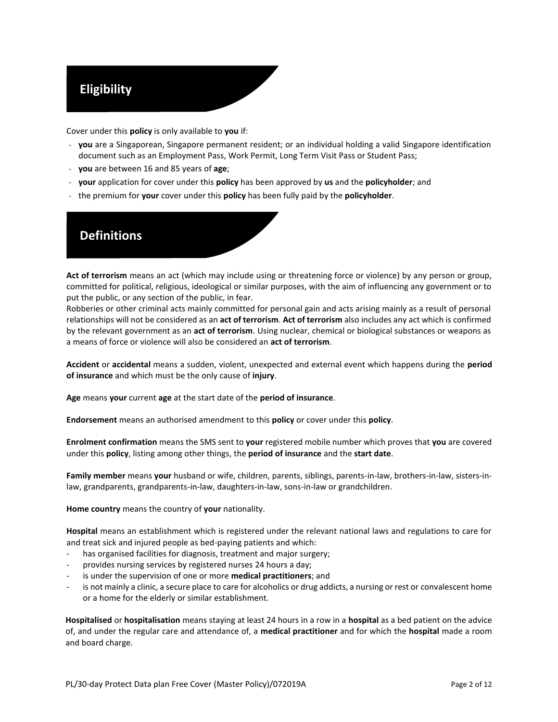# **Eligibility**

Cover under this **policy** is only available to **you** if:

- **you** are a Singaporean, Singapore permanent resident; or an individual holding a valid Singapore identification document such as an Employment Pass, Work Permit, Long Term Visit Pass or Student Pass;
- **you** are between 16 and 85 years of **age**;
- **your** application for cover under this **policy** has been approved by **us** and the **policyholder**; and
- the premium for **your** cover under this **policy** has been fully paid by the **policyholder**.

# **Definitions**

**Act of terrorism** means an act (which may include using or threatening force or violence) by any person or group, committed for political, religious, ideological or similar purposes, with the aim of influencing any government or to put the public, or any section of the public, in fear.

Robberies or other criminal acts mainly committed for personal gain and acts arising mainly as a result of personal relationships will not be considered as an **act of terrorism**. **Act of terrorism** also includes any act which is confirmed by the relevant government as an **act of terrorism**. Using nuclear, chemical or biological substances or weapons as a means of force or violence will also be considered an **act of terrorism**.

**Accident** or **accidental** means a sudden, violent, unexpected and external event which happens during the **period of insurance** and which must be the only cause of **injury**.

**Age** means **your** current **age** at the start date of the **period of insurance**.

**Endorsement** means an authorised amendment to this **policy** or cover under this **policy**.

**Enrolment confirmation** means the SMS sent to **your** registered mobile number which proves that **you** are covered under this **policy**, listing among other things, the **period of insurance** and the **start date**.

**Family member** means **your** husband or wife, children, parents, siblings, parents-in-law, brothers-in-law, sisters-inlaw, grandparents, grandparents-in-law, daughters-in-law, sons-in-law or grandchildren.

**Home country** means the country of **your** nationality.

**Hospital** means an establishment which is registered under the relevant national laws and regulations to care for and treat sick and injured people as bed-paying patients and which:

- has organised facilities for diagnosis, treatment and major surgery;
- provides nursing services by registered nurses 24 hours a day;
- is under the supervision of one or more **medical practitioners**; and
- is not mainly a clinic, a secure place to care for alcoholics or drug addicts, a nursing or rest or convalescent home or a home for the elderly or similar establishment.

**Hospitalised** or **hospitalisation** means staying at least 24 hours in a row in a **hospital** as a bed patient on the advice of, and under the regular care and attendance of, a **medical practitioner** and for which the **hospital** made a room and board charge.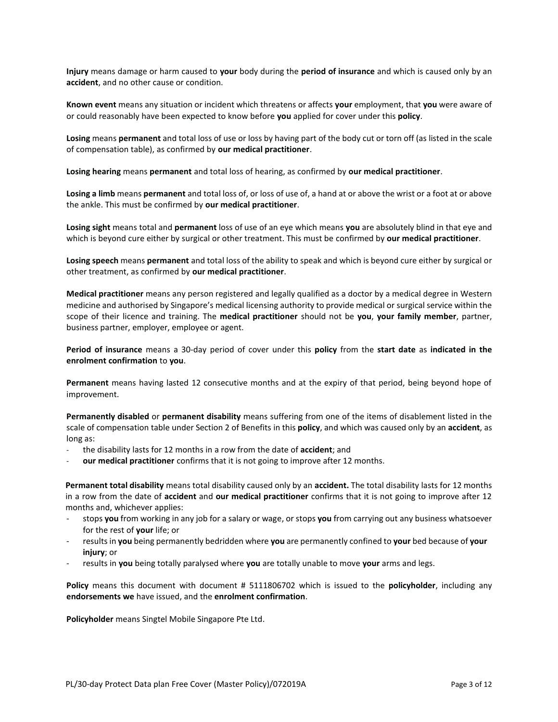**Injury** means damage or harm caused to **your** body during the **period of insurance** and which is caused only by an **accident**, and no other cause or condition.

**Known event** means any situation or incident which threatens or affects **your** employment, that **you** were aware of or could reasonably have been expected to know before **you** applied for cover under this **policy**.

**Losing** means **permanent** and total loss of use or loss by having part of the body cut or torn off (as listed in the scale of compensation table), as confirmed by **our medical practitioner**.

**Losing hearing** means **permanent** and total loss of hearing, as confirmed by **our medical practitioner**.

**Losing a limb** means **permanent** and total loss of, or loss of use of, a hand at or above the wrist or a foot at or above the ankle. This must be confirmed by **our medical practitioner**.

**Losing sight** means total and **permanent** loss of use of an eye which means **you** are absolutely blind in that eye and which is beyond cure either by surgical or other treatment. This must be confirmed by **our medical practitioner**.

**Losing speech** means **permanent** and total loss of the ability to speak and which is beyond cure either by surgical or other treatment, as confirmed by **our medical practitioner**.

**Medical practitioner** means any person registered and legally qualified as a doctor by a medical degree in Western medicine and authorised by Singapore's medical licensing authority to provide medical or surgical service within the scope of their licence and training. The **medical practitioner** should not be **you**, **your family member**, partner, business partner, employer, employee or agent.

**Period of insurance** means a 30-day period of cover under this **policy** from the **start date** as **indicated in the enrolment confirmation** to **you**.

**Permanent** means having lasted 12 consecutive months and at the expiry of that period, being beyond hope of improvement.

**Permanently disabled** or **permanent disability** means suffering from one of the items of disablement listed in the scale of compensation table under Section 2 of Benefits in this **policy**, and which was caused only by an **accident**, as long as:

- the disability lasts for 12 months in a row from the date of **accident**; and
- **our medical practitioner** confirms that it is not going to improve after 12 months.

**Permanent total disability** means total disability caused only by an **accident.** The total disability lasts for 12 months in a row from the date of **accident** and **our medical practitioner** confirms that it is not going to improve after 12 months and, whichever applies:

- stops **you** from working in any job for a salary or wage, or stops **you** from carrying out any business whatsoever for the rest of **your** life; or
- results in **you** being permanently bedridden where **you** are permanently confined to **your** bed because of **your injury**; or
- results in **you** being totally paralysed where **you** are totally unable to move **your** arms and legs.

**Policy** means this document with document # 5111806702 which is issued to the **policyholder**, including any **endorsements we** have issued, and the **enrolment confirmation**.

**Policyholder** means Singtel Mobile Singapore Pte Ltd.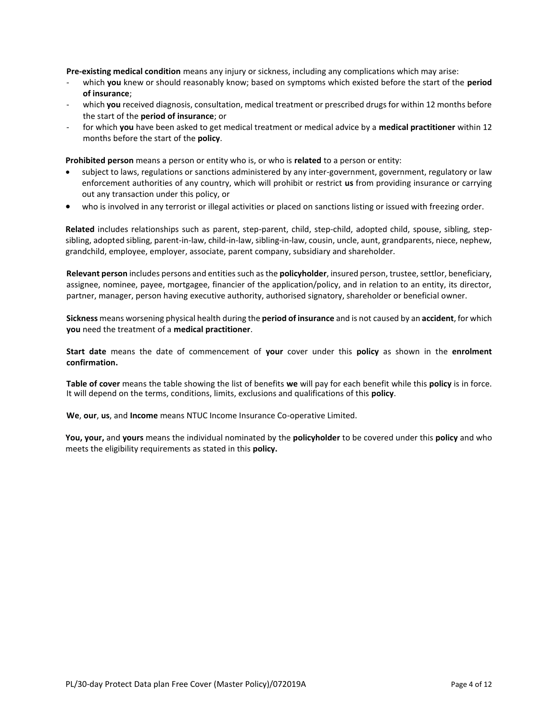**Pre-existing medical condition** means any injury or sickness, including any complications which may arise:

- which **you** knew or should reasonably know; based on symptoms which existed before the start of the **period of insurance**;
- which you received diagnosis, consultation, medical treatment or prescribed drugs for within 12 months before the start of the **period of insurance**; or
- for which **you** have been asked to get medical treatment or medical advice by a **medical practitioner** within 12 months before the start of the **policy**.

**Prohibited person** means a person or entity who is, or who is **related** to a person or entity:

- subject to laws, regulations or sanctions administered by any inter-government, government, regulatory or law enforcement authorities of any country, which will prohibit or restrict **us** from providing insurance or carrying out any transaction under this policy, or
- who is involved in any terrorist or illegal activities or placed on sanctions listing or issued with freezing order.

**Related** includes relationships such as parent, step-parent, child, step-child, adopted child, spouse, sibling, stepsibling, adopted sibling, parent-in-law, child-in-law, sibling-in-law, cousin, uncle, aunt, grandparents, niece, nephew, grandchild, employee, employer, associate, parent company, subsidiary and shareholder.

**Relevant person** includes persons and entities such as the **policyholder**, insured person, trustee, settlor, beneficiary, assignee, nominee, payee, mortgagee, financier of the application/policy, and in relation to an entity, its director, partner, manager, person having executive authority, authorised signatory, shareholder or beneficial owner.

**Sickness** means worsening physical health during the **period of insurance** and is not caused by an **accident**, for which **you** need the treatment of a **medical practitioner**.

**Start date** means the date of commencement of **your** cover under this **policy** as shown in the **enrolment confirmation.**

**Table of cover** means the table showing the list of benefits **we** will pay for each benefit while this **policy** is in force. It will depend on the terms, conditions, limits, exclusions and qualifications of this **policy**.

**We**, **our**, **us**, and **Income** means NTUC Income Insurance Co-operative Limited.

**You, your,** and **yours** means the individual nominated by the **policyholder** to be covered under this **policy** and who meets the eligibility requirements as stated in this **policy.**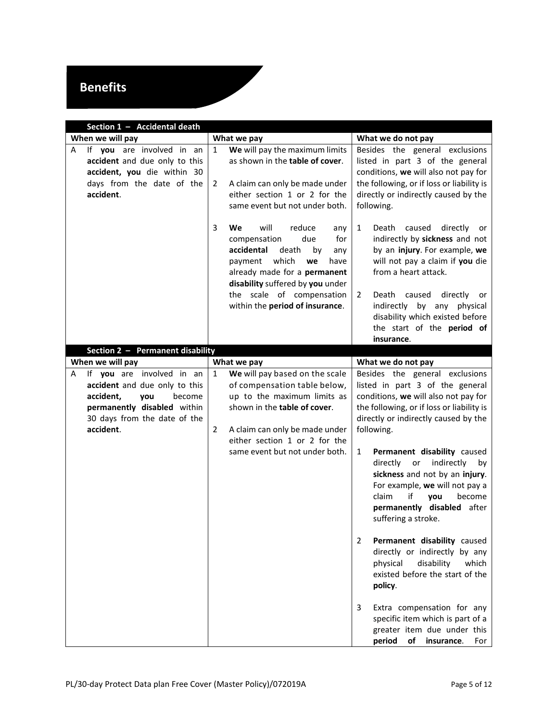# **Benefits**

<span id="page-4-1"></span><span id="page-4-0"></span>

| Section 1 - Accidental death                                                                                                             |                                                                                                                                                                                                                                                                          |                                                                                                                                                                                                                                                                                                                             |  |  |
|------------------------------------------------------------------------------------------------------------------------------------------|--------------------------------------------------------------------------------------------------------------------------------------------------------------------------------------------------------------------------------------------------------------------------|-----------------------------------------------------------------------------------------------------------------------------------------------------------------------------------------------------------------------------------------------------------------------------------------------------------------------------|--|--|
| When we will pay                                                                                                                         | What we pay                                                                                                                                                                                                                                                              | What we do not pay                                                                                                                                                                                                                                                                                                          |  |  |
| If you are involved in an<br>Α<br>accident and due only to this<br>accident, you die within 30<br>days from the date of the<br>accident. | We will pay the maximum limits<br>1<br>as shown in the table of cover.<br>A claim can only be made under<br>2<br>either section 1 or 2 for the<br>same event but not under both.                                                                                         | Besides the general exclusions<br>listed in part 3 of the general<br>conditions, we will also not pay for<br>the following, or if loss or liability is<br>directly or indirectly caused by the<br>following.                                                                                                                |  |  |
|                                                                                                                                          | 3<br>will<br>We<br>reduce<br>any<br>compensation<br>due<br>for<br>accidental<br>death<br>by<br>any<br>which<br>payment<br>we<br>have<br>already made for a permanent<br>disability suffered by you under<br>the scale of compensation<br>within the period of insurance. | 1<br>Death<br>caused<br>directly<br>or<br>indirectly by sickness and not<br>by an injury. For example, we<br>will not pay a claim if you die<br>from a heart attack.<br>Death<br>caused<br>directly<br>2<br>or<br>indirectly by any physical<br>disability which existed before<br>the start of the period of<br>insurance. |  |  |
| Section 2 - Permanent disability                                                                                                         |                                                                                                                                                                                                                                                                          |                                                                                                                                                                                                                                                                                                                             |  |  |
| When we will pay<br>If you are involved in an<br>Α                                                                                       | What we pay<br>We will pay based on the scale<br>$\mathbf{1}$                                                                                                                                                                                                            | What we do not pay<br>Besides the general exclusions                                                                                                                                                                                                                                                                        |  |  |
| accident and due only to this<br>accident,<br>you<br>become<br>permanently disabled within<br>30 days from the date of the<br>accident.  | of compensation table below,<br>up to the maximum limits as<br>shown in the table of cover.<br>A claim can only be made under<br>2<br>either section 1 or 2 for the                                                                                                      | listed in part 3 of the general<br>conditions, we will also not pay for<br>the following, or if loss or liability is<br>directly or indirectly caused by the<br>following.                                                                                                                                                  |  |  |
|                                                                                                                                          | same event but not under both.                                                                                                                                                                                                                                           | 1<br>Permanent disability caused<br>indirectly<br>directly<br>or<br>by<br>sickness and not by an injury.<br>For example, we will not pay a<br>if<br>become<br>claim<br>vou<br>permanently disabled after<br>suffering a stroke.                                                                                             |  |  |
|                                                                                                                                          |                                                                                                                                                                                                                                                                          | Permanent disability caused<br>2<br>directly or indirectly by any<br>physical<br>disability<br>which<br>existed before the start of the<br>policy.                                                                                                                                                                          |  |  |
|                                                                                                                                          |                                                                                                                                                                                                                                                                          | Extra compensation for any<br>3<br>specific item which is part of a<br>greater item due under this<br>period<br>of<br>insurance.<br>For                                                                                                                                                                                     |  |  |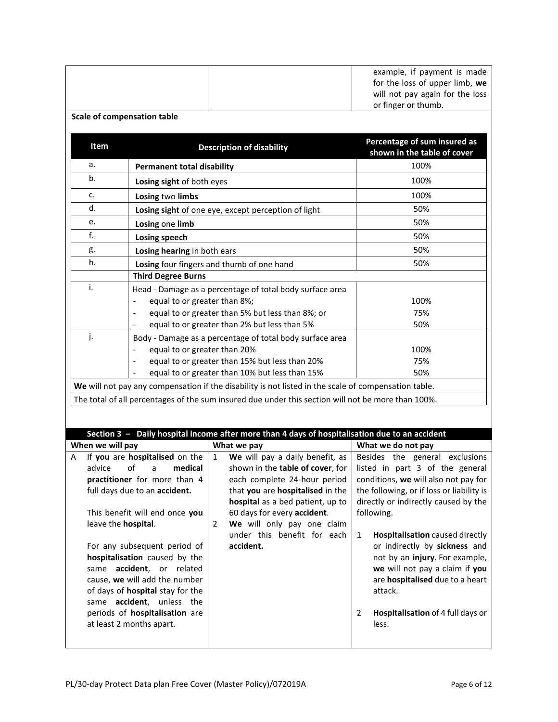<span id="page-5-0"></span>

|                                                                                                                                                                                                                                                            | <b>Scale of compensation table</b>                           |                                                                                                               | example, if payment is made<br>for the loss of upper limb, we<br>will not pay again for the loss<br>or finger or thumb.                                                                                                                    |
|------------------------------------------------------------------------------------------------------------------------------------------------------------------------------------------------------------------------------------------------------------|--------------------------------------------------------------|---------------------------------------------------------------------------------------------------------------|--------------------------------------------------------------------------------------------------------------------------------------------------------------------------------------------------------------------------------------------|
| Item                                                                                                                                                                                                                                                       |                                                              | <b>Description of disability</b>                                                                              | Percentage of sum insured as<br>shown in the table of cover                                                                                                                                                                                |
| a.                                                                                                                                                                                                                                                         | <b>Permanent total disability</b>                            |                                                                                                               | 100%                                                                                                                                                                                                                                       |
| b.                                                                                                                                                                                                                                                         | Losing sight of both eyes                                    |                                                                                                               | 100%                                                                                                                                                                                                                                       |
| c.                                                                                                                                                                                                                                                         | Losing two limbs                                             |                                                                                                               | 100%                                                                                                                                                                                                                                       |
| d.                                                                                                                                                                                                                                                         |                                                              | Losing sight of one eye, except perception of light                                                           | 50%                                                                                                                                                                                                                                        |
| e.                                                                                                                                                                                                                                                         | Losing one limb                                              |                                                                                                               | 50%                                                                                                                                                                                                                                        |
| f.                                                                                                                                                                                                                                                         | Losing speech                                                |                                                                                                               | 50%                                                                                                                                                                                                                                        |
| g.                                                                                                                                                                                                                                                         | Losing hearing in both ears                                  |                                                                                                               | 50%                                                                                                                                                                                                                                        |
| h.                                                                                                                                                                                                                                                         |                                                              | Losing four fingers and thumb of one hand                                                                     | 50%                                                                                                                                                                                                                                        |
|                                                                                                                                                                                                                                                            | <b>Third Degree Burns</b>                                    |                                                                                                               |                                                                                                                                                                                                                                            |
| i.                                                                                                                                                                                                                                                         |                                                              | Head - Damage as a percentage of total body surface area                                                      |                                                                                                                                                                                                                                            |
|                                                                                                                                                                                                                                                            | equal to or greater than 8%;<br>$\qquad \qquad \blacksquare$ | equal to or greater than 5% but less than 8%; or                                                              | 100%<br>75%                                                                                                                                                                                                                                |
|                                                                                                                                                                                                                                                            |                                                              | equal to or greater than 2% but less than 5%                                                                  | 50%                                                                                                                                                                                                                                        |
| j.                                                                                                                                                                                                                                                         |                                                              | Body - Damage as a percentage of total body surface area                                                      |                                                                                                                                                                                                                                            |
|                                                                                                                                                                                                                                                            | equal to or greater than 20%                                 |                                                                                                               | 100%                                                                                                                                                                                                                                       |
|                                                                                                                                                                                                                                                            |                                                              | equal to or greater than 15% but less than 20%                                                                | 75%                                                                                                                                                                                                                                        |
|                                                                                                                                                                                                                                                            |                                                              | equal to or greater than 10% but less than 15%                                                                | 50%                                                                                                                                                                                                                                        |
|                                                                                                                                                                                                                                                            |                                                              | We will not pay any compensation if the disability is not listed in the scale of compensation table.          |                                                                                                                                                                                                                                            |
|                                                                                                                                                                                                                                                            |                                                              | The total of all percentages of the sum insured due under this section will not be more than 100%.            |                                                                                                                                                                                                                                            |
| When we will pay                                                                                                                                                                                                                                           |                                                              | Section 3 - Daily hospital income after more than 4 days of hospitalisation due to an accident<br>What we pay | What we do not pay                                                                                                                                                                                                                         |
| Α                                                                                                                                                                                                                                                          | If you are hospitalised on the                               | We will pay a daily benefit, as<br>$\mathbf{1}$                                                               | Besides the general exclusions                                                                                                                                                                                                             |
| advice                                                                                                                                                                                                                                                     | of<br>medical<br>a                                           | shown in the table of cover, for                                                                              | listed in part 3 of the general                                                                                                                                                                                                            |
| practitioner for more than 4                                                                                                                                                                                                                               |                                                              | each complete 24-hour period                                                                                  | conditions, we will also not pay for                                                                                                                                                                                                       |
|                                                                                                                                                                                                                                                            | full days due to an accident.                                | that you are hospitalised in the                                                                              | the following, or if loss or liability is                                                                                                                                                                                                  |
| This benefit will end once you<br>leave the hospital.                                                                                                                                                                                                      |                                                              | hospital as a bed patient, up to<br>60 days for every accident.<br>We will only pay one claim<br>2            | directly or indirectly caused by the<br>following.                                                                                                                                                                                         |
| For any subsequent period of<br>hospitalisation caused by the<br>same accident, or related<br>cause, we will add the number<br>of days of hospital stay for the<br>same accident, unless the<br>periods of hospitalisation are<br>at least 2 months apart. |                                                              | under this benefit for each<br>accident.                                                                      | Hospitalisation caused directly<br>1<br>or indirectly by sickness and<br>not by an injury. For example,<br>we will not pay a claim if you<br>are hospitalised due to a heart<br>attack.<br>Hospitalisation of 4 full days or<br>2<br>less. |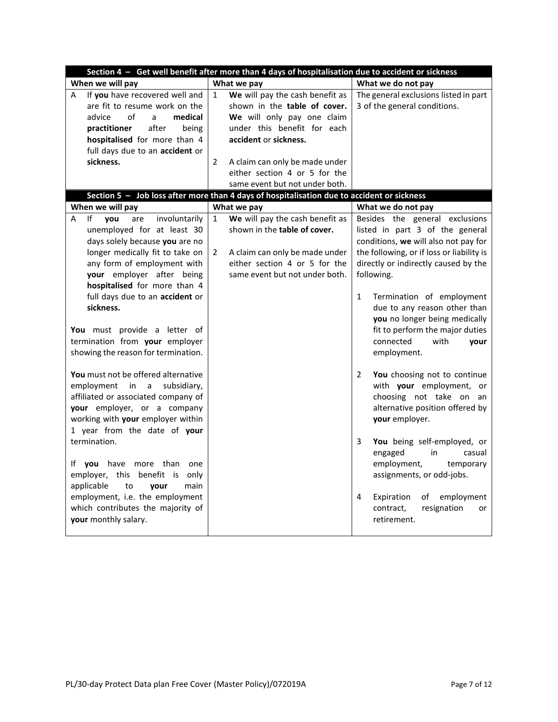<span id="page-6-1"></span><span id="page-6-0"></span>

| Section 4 - Get well benefit after more than 4 days of hospitalisation due to accident or sickness                                                                                                                                                                                                                                                                                                                                                                                                                                                                                                                       |                                                                                                                                                                                                                                                                                              |                                                                                                                                                                                                                                                                                                                                                                                                                                                                                                                                                              |  |  |
|--------------------------------------------------------------------------------------------------------------------------------------------------------------------------------------------------------------------------------------------------------------------------------------------------------------------------------------------------------------------------------------------------------------------------------------------------------------------------------------------------------------------------------------------------------------------------------------------------------------------------|----------------------------------------------------------------------------------------------------------------------------------------------------------------------------------------------------------------------------------------------------------------------------------------------|--------------------------------------------------------------------------------------------------------------------------------------------------------------------------------------------------------------------------------------------------------------------------------------------------------------------------------------------------------------------------------------------------------------------------------------------------------------------------------------------------------------------------------------------------------------|--|--|
| When we will pay                                                                                                                                                                                                                                                                                                                                                                                                                                                                                                                                                                                                         | What we pay                                                                                                                                                                                                                                                                                  | What we do not pay                                                                                                                                                                                                                                                                                                                                                                                                                                                                                                                                           |  |  |
| If you have recovered well and<br>A<br>are fit to resume work on the<br>advice<br>of<br>medical<br>a<br>after<br>practitioner<br>being<br>hospitalised for more than 4<br>full days due to an accident or<br>sickness.                                                                                                                                                                                                                                                                                                                                                                                                   | We will pay the cash benefit as<br>$\mathbf{1}$<br>shown in the table of cover.<br>We will only pay one claim<br>under this benefit for each<br>accident or sickness.<br>$\overline{2}$<br>A claim can only be made under<br>either section 4 or 5 for the<br>same event but not under both. | The general exclusions listed in part<br>3 of the general conditions.                                                                                                                                                                                                                                                                                                                                                                                                                                                                                        |  |  |
|                                                                                                                                                                                                                                                                                                                                                                                                                                                                                                                                                                                                                          | Section 5 - Job loss after more than 4 days of hospitalisation due to accident or sickness                                                                                                                                                                                                   |                                                                                                                                                                                                                                                                                                                                                                                                                                                                                                                                                              |  |  |
| When we will pay                                                                                                                                                                                                                                                                                                                                                                                                                                                                                                                                                                                                         | What we pay                                                                                                                                                                                                                                                                                  | What we do not pay                                                                                                                                                                                                                                                                                                                                                                                                                                                                                                                                           |  |  |
| involuntarily<br>١f<br>vou<br>A<br>are<br>unemployed for at least 30<br>days solely because you are no<br>longer medically fit to take on<br>any form of employment with<br>your employer after being<br>hospitalised for more than 4<br>full days due to an accident or<br>sickness.<br>You must provide a letter of<br>termination from your employer<br>showing the reason for termination.<br>You must not be offered alternative<br>employment<br>in<br>a<br>subsidiary,<br>affiliated or associated company of<br>your employer, or a company<br>working with your employer within<br>1 year from the date of your | We will pay the cash benefit as<br>$\mathbf{1}$<br>shown in the table of cover.<br>2<br>A claim can only be made under<br>either section 4 or 5 for the<br>same event but not under both.                                                                                                    | Besides the general exclusions<br>listed in part 3 of the general<br>conditions, we will also not pay for<br>the following, or if loss or liability is<br>directly or indirectly caused by the<br>following.<br>Termination of employment<br>1<br>due to any reason other than<br>you no longer being medically<br>fit to perform the major duties<br>connected<br>with<br>your<br>employment.<br>$\overline{2}$<br>You choosing not to continue<br>with your employment, or<br>choosing not take on an<br>alternative position offered by<br>your employer. |  |  |
| termination.<br>If you have more than one<br>employer, this benefit is only<br>applicable<br>main<br>to<br>your<br>employment, i.e. the employment<br>which contributes the majority of<br>your monthly salary.                                                                                                                                                                                                                                                                                                                                                                                                          |                                                                                                                                                                                                                                                                                              | 3<br>You being self-employed, or<br>engaged<br>in<br>casual<br>employment,<br>temporary<br>assignments, or odd-jobs.<br>Expiration<br>employment<br>4<br>of<br>resignation<br>contract,<br>or<br>retirement.                                                                                                                                                                                                                                                                                                                                                 |  |  |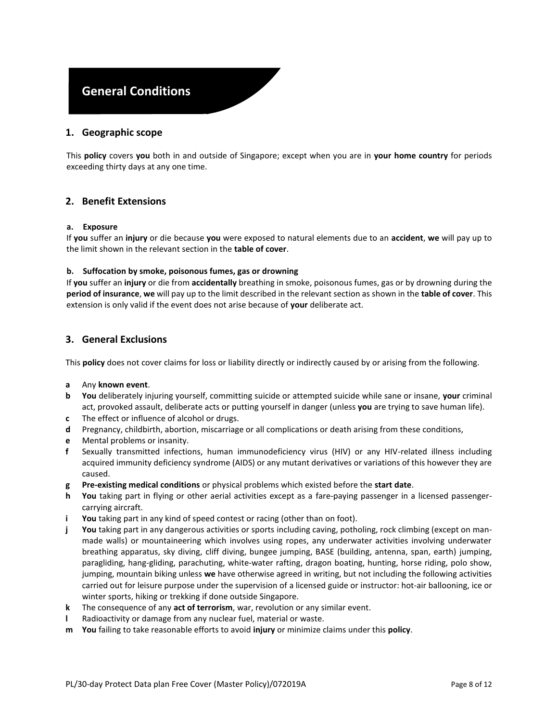# **General Conditions**

### **1. Geographic scope**

This **policy** covers **you** both in and outside of Singapore; except when you are in **your home country** for periods exceeding thirty days at any one time.

### **2. Benefit Extensions**

#### **a. Exposure**

If **you** suffer an **injury** or die because **you** were exposed to natural elements due to an **accident**, **we** will pay up to the limit shown in the relevant section in the **table of cover**.

#### **b. Suffocation by smoke, poisonous fumes, gas or drowning**

If **you** suffer an **injury** or die from **accidentally** breathing in smoke, poisonous fumes, gas or by drowning during the **period of insurance**, **we** will pay up to the limit described in the relevant section as shown in the **table of cover**. This extension is only valid if the event does not arise because of **your** deliberate act.

### <span id="page-7-0"></span>**3. General Exclusions**

This **policy** does not cover claims for loss or liability directly or indirectly caused by or arising from the following.

#### **a** Any **known event**.

- **b You** deliberately injuring yourself, committing suicide or attempted suicide while sane or insane, **your** criminal act, provoked assault, deliberate acts or putting yourself in danger (unless **you** are trying to save human life).
- **c** The effect or influence of alcohol or drugs.
- **d** Pregnancy, childbirth, abortion, miscarriage or all complications or death arising from these conditions,
- **e** Mental problems or insanity.
- **f** Sexually transmitted infections, human immunodeficiency virus (HIV) or any HIV-related illness including acquired immunity deficiency syndrome (AIDS) or any mutant derivatives or variations of this however they are caused.
- **g Pre-existing medical conditions** or physical problems which existed before the **start date**.
- **h You** taking part in flying or other aerial activities except as a fare-paying passenger in a licensed passengercarrying aircraft.
- **i You** taking part in any kind of speed contest or racing (other than on foot).
- **j You** taking part in any dangerous activities or sports including caving, potholing, rock climbing (except on manmade walls) or mountaineering which involves using ropes, any underwater activities involving underwater breathing apparatus, sky diving, cliff diving, bungee jumping, BASE (building, antenna, span, earth) jumping, paragliding, hang-gliding, parachuting, white-water rafting, dragon boating, hunting, horse riding, polo show, jumping, mountain biking unless **we** have otherwise agreed in writing, but not including the following activities carried out for leisure purpose under the supervision of a licensed guide or instructor: hot-air ballooning, ice or winter sports, hiking or trekking if done outside Singapore.
- **k** The consequence of any **act of terrorism**, war, revolution or any similar event.
- **l** Radioactivity or damage from any nuclear fuel, material or waste.
- **m You** failing to take reasonable efforts to avoid **injury** or minimize claims under this **policy**.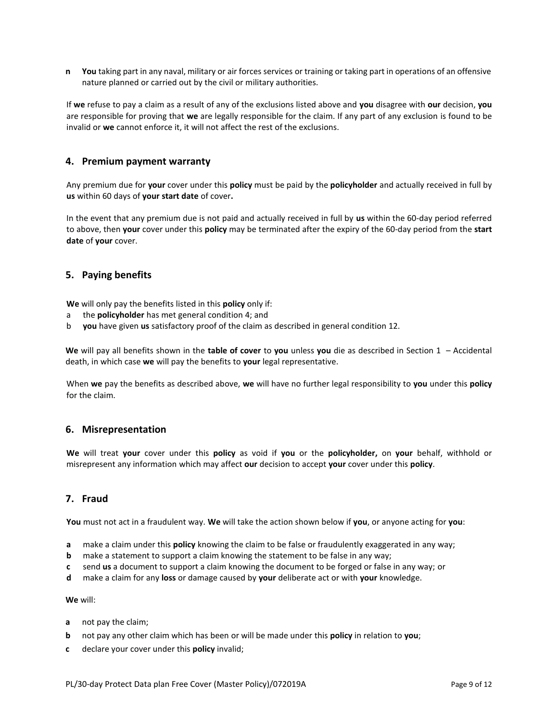**n You** taking part in any naval, military or air forces services or training or taking part in operations of an offensive nature planned or carried out by the civil or military authorities.

If **we** refuse to pay a claim as a result of any of the exclusions listed above and **you** disagree with **our** decision, **you**  are responsible for proving that **we** are legally responsible for the claim. If any part of any exclusion is found to be invalid or **we** cannot enforce it, it will not affect the rest of the exclusions.

#### <span id="page-8-0"></span>**4. Premium payment warranty**

Any premium due for **your** cover under this **policy** must be paid by the **policyholder** and actually received in full by **us** within 60 days of **your start date** of cover**.** 

In the event that any premium due is not paid and actually received in full by **us** within the 60-day period referred to above, then **your** cover under this **policy** may be terminated after the expiry of the 60-day period from the **start date** of **your** cover.

### **5. Paying benefits**

**We** will only pay the benefits listed in this **policy** only if:

- a the **policyholder** has met general condition [4;](#page-8-0) and
- b **you** have given **us** satisfactory proof of the claim as described in general conditio[n 12.](#page-9-0)

**We** will pay all benefits shown in the **table of cover** to **you** unless **you** die as described in [Section 1](#page-4-0) – [Accidental](#page-4-0)  [death,](#page-4-0) in which case **we** will pay the benefits to **your** legal representative.

When **we** pay the benefits as described above, **we** will have no further legal responsibility to **you** under this **policy** for the claim.

#### <span id="page-8-1"></span>**6. Misrepresentation**

**We** will treat **your** cover under this **policy** as void if **you** or the **policyholder,** on **your** behalf, withhold or misrepresent any information which may affect **our** decision to accept **your** cover under this **policy**.

## <span id="page-8-2"></span>**7. Fraud**

**You** must not act in a fraudulent way. **We** will take the action shown below if **you**, or anyone acting for **you**:

- **a** make a claim under this **policy** knowing the claim to be false or fraudulently exaggerated in any way;
- **b** make a statement to support a claim knowing the statement to be false in any way;
- **c** send **us** a document to support a claim knowing the document to be forged or false in any way; or
- **d** make a claim for any **loss** or damage caused by **your** deliberate act or with **your** knowledge.

#### **We** will:

- **a** not pay the claim;
- **b** not pay any other claim which has been or will be made under this **policy** in relation to **you**;
- **c** declare your cover under this **policy** invalid;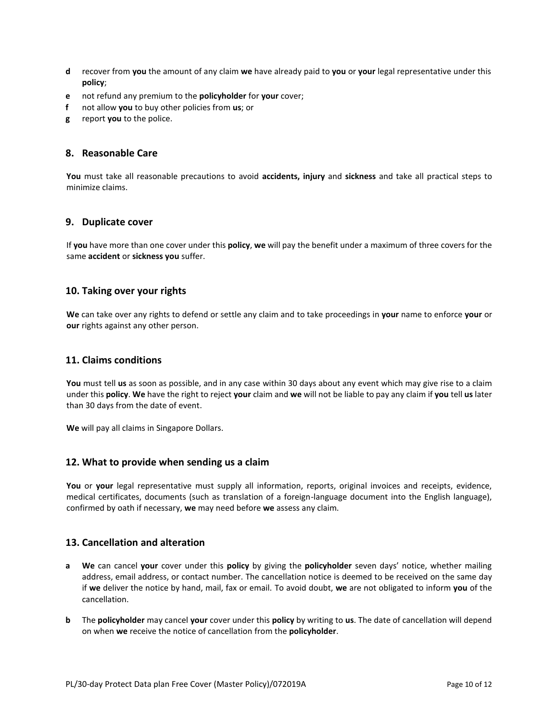- **d** recover from **you** the amount of any claim **we** have already paid to **you** or **your** legal representative under this **policy**;
- **e** not refund any premium to the **policyholder** for **your** cover;
- **f** not allow **you** to buy other policies from **us**; or
- **g** report **you** to the police.

#### **8. Reasonable Care**

**You** must take all reasonable precautions to avoid **accidents, injury** and **sickness** and take all practical steps to minimize claims.

#### **9. Duplicate cover**

If **you** have more than one cover under this **policy**, **we** will pay the benefit under a maximum of three covers for the same **accident** or **sickness you** suffer.

### **10. Taking over your rights**

**We** can take over any rights to defend or settle any claim and to take proceedings in **your** name to enforce **your** or **our** rights against any other person.

#### **11. Claims conditions**

**You** must tell **us** as soon as possible, and in any case within 30 days about any event which may give rise to a claim under this **policy**. **We** have the right to reject **your** claim and **we** will not be liable to pay any claim if **you** tell **us** later than 30 days from the date of event.

**We** will pay all claims in Singapore Dollars.

#### <span id="page-9-0"></span>**12. What to provide when sending us a claim**

**You** or **your** legal representative must supply all information, reports, original invoices and receipts, evidence, medical certificates, documents (such as translation of a foreign-language document into the English language), confirmed by oath if necessary, **we** may need before **we** assess any claim.

#### <span id="page-9-1"></span>**13. Cancellation and alteration**

- **a We** can cancel **your** cover under this **policy** by giving the **policyholder** seven days' notice, whether mailing address, email address, or contact number. The cancellation notice is deemed to be received on the same day if **we** deliver the notice by hand, mail, fax or email. To avoid doubt, **we** are not obligated to inform **you** of the cancellation.
- **b** The **policyholder** may cancel **your** cover under this **policy** by writing to **us**. The date of cancellation will depend on when **we** receive the notice of cancellation from the **policyholder**.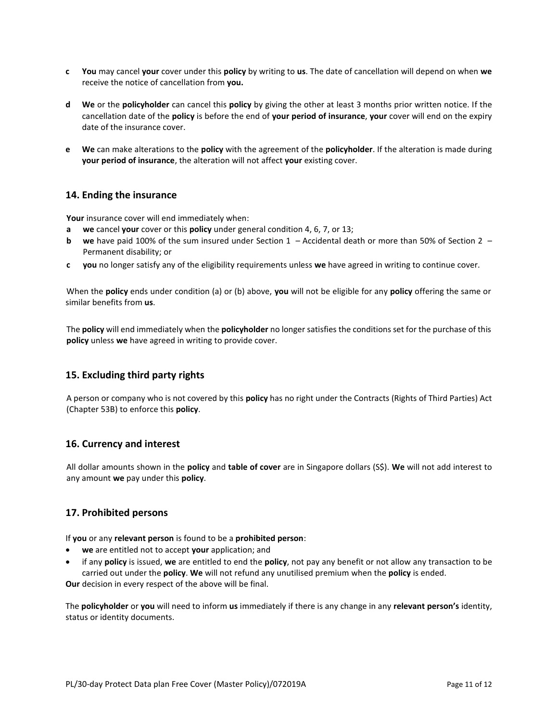- **c You** may cancel **your** cover under this **policy** by writing to **us**. The date of cancellation will depend on when **we**  receive the notice of cancellation from **you.**
- **d We** or the **policyholder** can cancel this **policy** by giving the other at least 3 months prior written notice. If the cancellation date of the **policy** is before the end of **your period of insurance**, **your** cover will end on the expiry date of the insurance cover.
- **e We** can make alterations to the **policy** with the agreement of the **policyholder**. If the alteration is made during **your period of insurance**, the alteration will not affect **your** existing cover.

### **14. Ending the insurance**

**Your** insurance cover will end immediately when:

- **a we** cancel **your** cover or this **policy** under general conditio[n 4,](#page-8-0) [6,](#page-8-1) [7,](#page-8-2) o[r 13;](#page-9-1)
- **b we** have paid 100% of the sum insured under [Section 1](#page-4-0)  [Accidental death](#page-4-0) or more than 50% of [Section 2](#page-4-1)  [Permanent disability;](#page-4-1) or
- **c you** no longer satisfy any of the eligibility requirements unless **we** have agreed in writing to continue cover.

When the **policy** ends under condition (a) or (b) above, **you** will not be eligible for any **policy** offering the same or similar benefits from **us**.

The **policy** will end immediately when the **policyholder** no longer satisfies the conditions set for the purchase of this **policy** unless **we** have agreed in writing to provide cover.

## **15. Excluding third party rights**

A person or company who is not covered by this **policy** has no right under the Contracts (Rights of Third Parties) Act (Chapter 53B) to enforce this **policy**.

## **16. Currency and interest**

All dollar amounts shown in the **policy** and **table of cover** are in Singapore dollars (S\$). **We** will not add interest to any amount **we** pay under this **policy**.

#### **17. Prohibited persons**

If **you** or any **relevant person** is found to be a **prohibited person**:

- **we** are entitled not to accept **your** application; and
- if any **policy** is issued, **we** are entitled to end the **policy**, not pay any benefit or not allow any transaction to be carried out under the **policy**. **We** will not refund any unutilised premium when the **policy** is ended.

**Our** decision in every respect of the above will be final.

The **policyholder** or **you** will need to inform **us** immediately if there is any change in any **relevant person's** identity, status or identity documents.